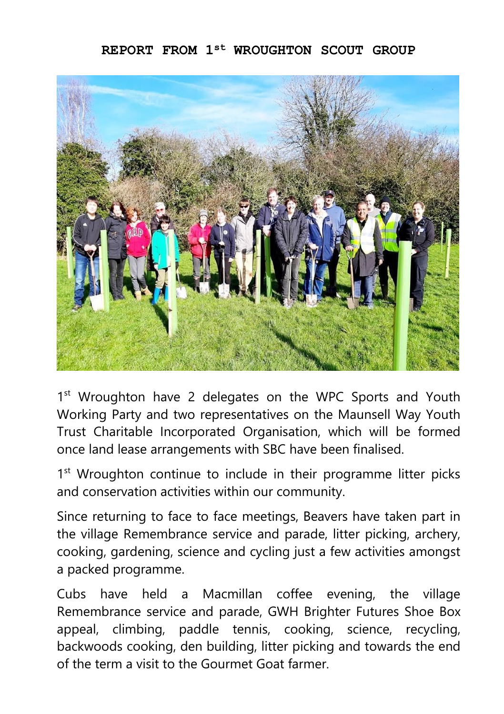## **REPORT FROM 1st WROUGHTON SCOUT GROUP**



1<sup>st</sup> Wroughton have 2 delegates on the WPC Sports and Youth Working Party and two representatives on the Maunsell Way Youth Trust Charitable Incorporated Organisation, which will be formed once land lease arrangements with SBC have been finalised.

1<sup>st</sup> Wroughton continue to include in their programme litter picks and conservation activities within our community.

Since returning to face to face meetings, Beavers have taken part in the village Remembrance service and parade, litter picking, archery, cooking, gardening, science and cycling just a few activities amongst a packed programme.

Cubs have held a Macmillan coffee evening, the village Remembrance service and parade, GWH Brighter Futures Shoe Box appeal, climbing, paddle tennis, cooking, science, recycling, backwoods cooking, den building, litter picking and towards the end of the term a visit to the Gourmet Goat farmer.